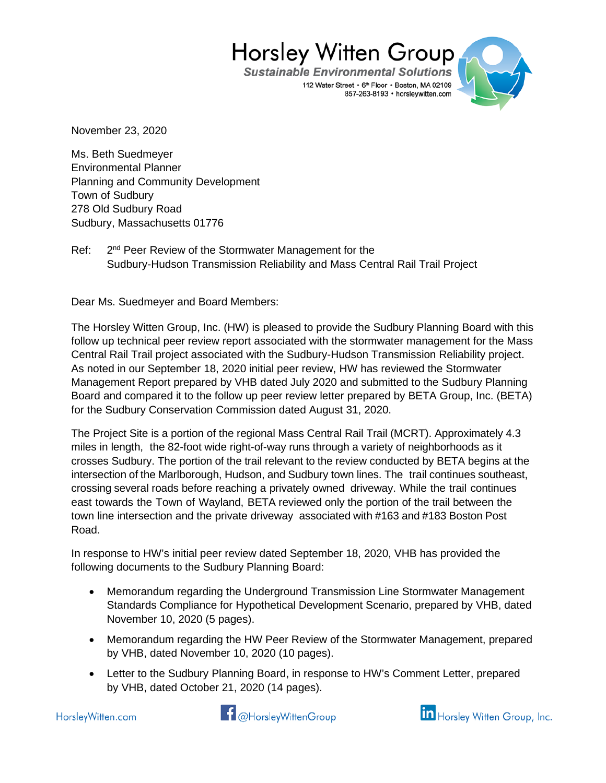**Sustainable Environmental Solutions** 112 Water Street • 6th Floor • Boston, MA 02109 857-263-8193 · horsleywitten.com



November 23, 2020

Ms. Beth Suedmeyer Environmental Planner Planning and Community Development Town of Sudbury 278 Old Sudbury Road Sudbury, Massachusetts 01776

Ref: 2<sup>nd</sup> Peer Review of the Stormwater Management for the Sudbury-Hudson Transmission Reliability and Mass Central Rail Trail Project

Dear Ms. Suedmeyer and Board Members:

The Horsley Witten Group, Inc. (HW) is pleased to provide the Sudbury Planning Board with this follow up technical peer review report associated with the stormwater management for the Mass Central Rail Trail project associated with the Sudbury-Hudson Transmission Reliability project. As noted in our September 18, 2020 initial peer review, HW has reviewed the Stormwater Management Report prepared by VHB dated July 2020 and submitted to the Sudbury Planning Board and compared it to the follow up peer review letter prepared by BETA Group, Inc. (BETA) for the Sudbury Conservation Commission dated August 31, 2020.

The Project Site is a portion of the regional Mass Central Rail Trail (MCRT). Approximately 4.3 miles in length, the 82-foot wide right-of-way runs through a variety of neighborhoods as it crosses Sudbury. The portion of the trail relevant to the review conducted by BETA begins at the intersection of the Marlborough, Hudson, and Sudbury town lines. The trail continues southeast, crossing several roads before reaching a privately owned driveway. While the trail continues east towards the Town of Wayland, BETA reviewed only the portion of the trail between the town line intersection and the private driveway associated with #163 and #183 Boston Post Road.

In response to HW's initial peer review dated September 18, 2020, VHB has provided the following documents to the Sudbury Planning Board:

- Memorandum regarding the Underground Transmission Line Stormwater Management Standards Compliance for Hypothetical Development Scenario, prepared by VHB, dated November 10, 2020 (5 pages).
- Memorandum regarding the HW Peer Review of the Stormwater Management, prepared by VHB, dated November 10, 2020 (10 pages).
- Letter to the Sudbury Planning Board, in response to HW's Comment Letter, prepared by VHB, dated October 21, 2020 (14 pages).

**11** @HorsleyWittenGroup

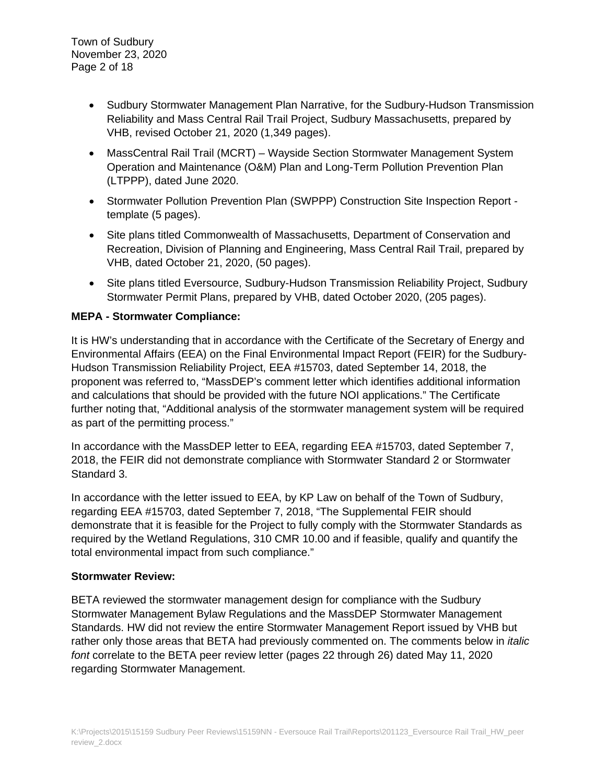- Sudbury Stormwater Management Plan Narrative, for the Sudbury-Hudson Transmission Reliability and Mass Central Rail Trail Project, Sudbury Massachusetts, prepared by VHB, revised October 21, 2020 (1,349 pages).
- MassCentral Rail Trail (MCRT) Wayside Section Stormwater Management System Operation and Maintenance (O&M) Plan and Long-Term Pollution Prevention Plan (LTPPP), dated June 2020.
- Stormwater Pollution Prevention Plan (SWPPP) Construction Site Inspection Report template (5 pages).
- Site plans titled Commonwealth of Massachusetts, Department of Conservation and Recreation, Division of Planning and Engineering, Mass Central Rail Trail, prepared by VHB, dated October 21, 2020, (50 pages).
- Site plans titled Eversource, Sudbury-Hudson Transmission Reliability Project, Sudbury Stormwater Permit Plans, prepared by VHB, dated October 2020, (205 pages).

# **MEPA - Stormwater Compliance:**

It is HW's understanding that in accordance with the Certificate of the Secretary of Energy and Environmental Affairs (EEA) on the Final Environmental Impact Report (FEIR) for the Sudbury-Hudson Transmission Reliability Project, EEA #15703, dated September 14, 2018, the proponent was referred to, "MassDEP's comment letter which identifies additional information and calculations that should be provided with the future NOI applications." The Certificate further noting that, "Additional analysis of the stormwater management system will be required as part of the permitting process."

In accordance with the MassDEP letter to EEA, regarding EEA #15703, dated September 7, 2018, the FEIR did not demonstrate compliance with Stormwater Standard 2 or Stormwater Standard 3.

In accordance with the letter issued to EEA, by KP Law on behalf of the Town of Sudbury, regarding EEA #15703, dated September 7, 2018, "The Supplemental FEIR should demonstrate that it is feasible for the Project to fully comply with the Stormwater Standards as required by the Wetland Regulations, 310 CMR 10.00 and if feasible, qualify and quantify the total environmental impact from such compliance."

# **Stormwater Review:**

BETA reviewed the stormwater management design for compliance with the Sudbury Stormwater Management Bylaw Regulations and the MassDEP Stormwater Management Standards. HW did not review the entire Stormwater Management Report issued by VHB but rather only those areas that BETA had previously commented on. The comments below in *italic font* correlate to the BETA peer review letter (pages 22 through 26) dated May 11, 2020 regarding Stormwater Management.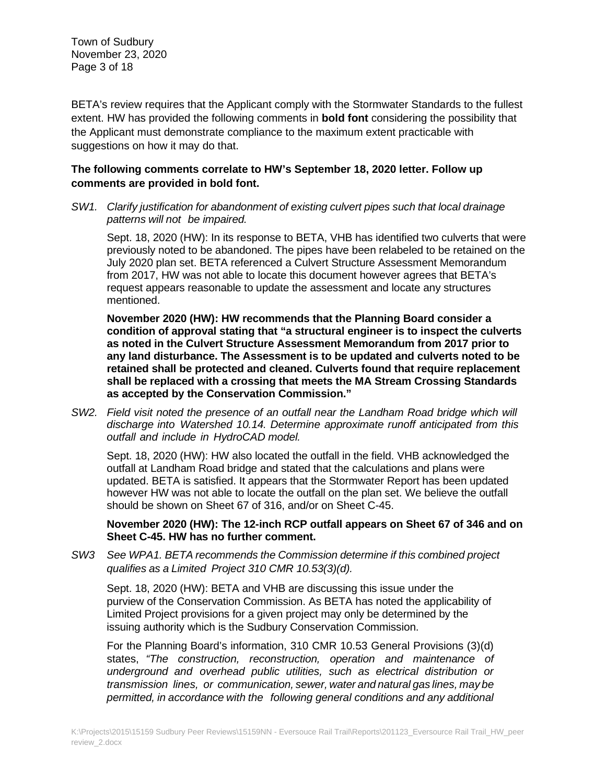Town of Sudbury November 23, 2020 Page 3 of 18

BETA's review requires that the Applicant comply with the Stormwater Standards to the fullest extent. HW has provided the following comments in **bold font** considering the possibility that the Applicant must demonstrate compliance to the maximum extent practicable with suggestions on how it may do that.

# **The following comments correlate to HW's September 18, 2020 letter. Follow up comments are provided in bold font.**

*SW1. Clarify justification for abandonment of existing culvert pipes such that local drainage patterns will not be impaired.*

Sept. 18, 2020 (HW): In its response to BETA, VHB has identified two culverts that were previously noted to be abandoned. The pipes have been relabeled to be retained on the July 2020 plan set. BETA referenced a Culvert Structure Assessment Memorandum from 2017, HW was not able to locate this document however agrees that BETA's request appears reasonable to update the assessment and locate any structures mentioned.

**November 2020 (HW): HW recommends that the Planning Board consider a condition of approval stating that "a structural engineer is to inspect the culverts as noted in the Culvert Structure Assessment Memorandum from 2017 prior to any land disturbance. The Assessment is to be updated and culverts noted to be retained shall be protected and cleaned. Culverts found that require replacement shall be replaced with a crossing that meets the MA Stream Crossing Standards as accepted by the Conservation Commission."**

*SW2. Field visit noted the presence of an outfall near the Landham Road bridge which will discharge into Watershed 10.14. Determine approximate runoff anticipated from this outfall and include in HydroCAD model.*

Sept. 18, 2020 (HW): HW also located the outfall in the field. VHB acknowledged the outfall at Landham Road bridge and stated that the calculations and plans were updated. BETA is satisfied. It appears that the Stormwater Report has been updated however HW was not able to locate the outfall on the plan set. We believe the outfall should be shown on Sheet 67 of 316, and/or on Sheet C-45.

**November 2020 (HW): The 12-inch RCP outfall appears on Sheet 67 of 346 and on Sheet C-45. HW has no further comment.**

*SW3 See WPA1. BETA recommends the Commission determine if this combined project qualifies as a Limited Project 310 CMR 10.53(3)(d).*

Sept. 18, 2020 (HW): BETA and VHB are discussing this issue under the purview of the Conservation Commission. As BETA has noted the applicability of Limited Project provisions for a given project may only be determined by the issuing authority which is the Sudbury Conservation Commission.

For the Planning Board's information, 310 CMR 10.53 General Provisions (3)(d) states, *"The construction, reconstruction, operation and maintenance of underground and overhead public utilities, such as electrical distribution or transmission lines, or communication, sewer, water and natural gas lines, may be permitted, in accordance with the following general conditions and any additional*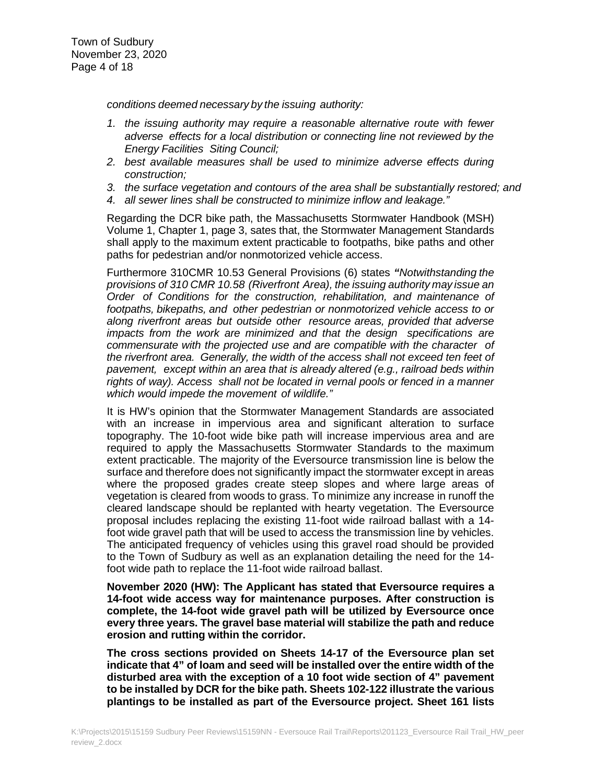*conditions deemed necessary by the issuing authority:*

- *1. the issuing authority may require a reasonable alternative route with fewer adverse effects for a local distribution or connecting line not reviewed by the Energy Facilities Siting Council;*
- *2. best available measures shall be used to minimize adverse effects during construction;*
- *3. the surface vegetation and contours of the area shall be substantially restored; and*
- *4. all sewer lines shall be constructed to minimize inflow and leakage."*

Regarding the DCR bike path, the Massachusetts Stormwater Handbook (MSH) Volume 1, Chapter 1, page 3, sates that, the Stormwater Management Standards shall apply to the maximum extent practicable to footpaths, bike paths and other paths for pedestrian and/or nonmotorized vehicle access.

Furthermore 310CMR 10.53 General Provisions (6) states *"Notwithstanding the provisions of 310 CMR 10.58 (Riverfront Area), the issuing authority may issue an Order of Conditions for the construction, rehabilitation, and maintenance of footpaths, bikepaths, and other pedestrian or nonmotorized vehicle access to or along riverfront areas but outside other resource areas, provided that adverse impacts from the work are minimized and that the design specifications are commensurate with the projected use and are compatible with the character of the riverfront area. Generally, the width of the access shall not exceed ten feet of pavement, except within an area that is already altered (e.g., railroad beds within rights of way). Access shall not be located in vernal pools or fenced in a manner which would impede the movement of wildlife."*

It is HW's opinion that the Stormwater Management Standards are associated with an increase in impervious area and significant alteration to surface topography. The 10-foot wide bike path will increase impervious area and are required to apply the Massachusetts Stormwater Standards to the maximum extent practicable. The majority of the Eversource transmission line is below the surface and therefore does not significantly impact the stormwater except in areas where the proposed grades create steep slopes and where large areas of vegetation is cleared from woods to grass. To minimize any increase in runoff the cleared landscape should be replanted with hearty vegetation. The Eversource proposal includes replacing the existing 11-foot wide railroad ballast with a 14 foot wide gravel path that will be used to access the transmission line by vehicles. The anticipated frequency of vehicles using this gravel road should be provided to the Town of Sudbury as well as an explanation detailing the need for the 14 foot wide path to replace the 11-foot wide railroad ballast.

**November 2020 (HW): The Applicant has stated that Eversource requires a 14-foot wide access way for maintenance purposes. After construction is complete, the 14-foot wide gravel path will be utilized by Eversource once every three years. The gravel base material will stabilize the path and reduce erosion and rutting within the corridor.**

**The cross sections provided on Sheets 14-17 of the Eversource plan set indicate that 4" of loam and seed will be installed over the entire width of the disturbed area with the exception of a 10 foot wide section of 4" pavement to be installed by DCR for the bike path. Sheets 102-122 illustrate the various plantings to be installed as part of the Eversource project. Sheet 161 lists**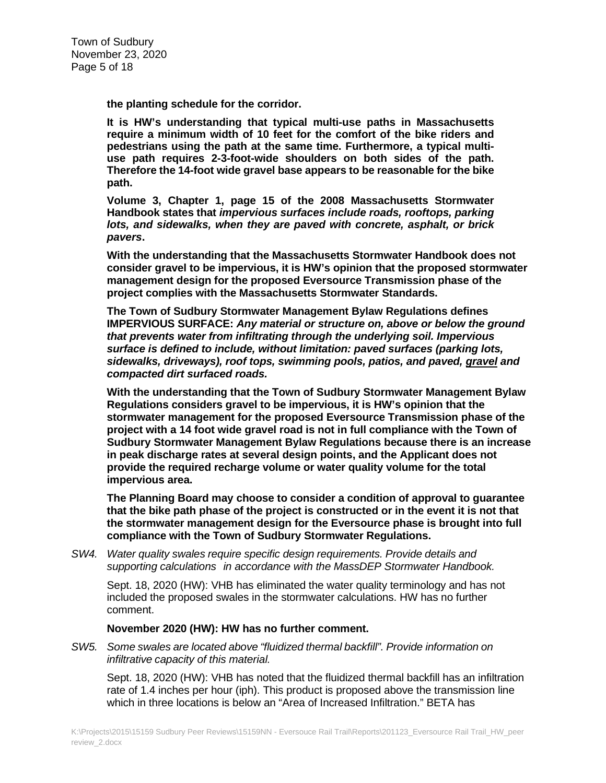**the planting schedule for the corridor.**

**It is HW's understanding that typical multi-use paths in Massachusetts require a minimum width of 10 feet for the comfort of the bike riders and pedestrians using the path at the same time. Furthermore, a typical multiuse path requires 2-3-foot-wide shoulders on both sides of the path. Therefore the 14-foot wide gravel base appears to be reasonable for the bike path.**

**Volume 3, Chapter 1, page 15 of the 2008 Massachusetts Stormwater Handbook states that** *impervious surfaces include roads, rooftops, parking lots, and sidewalks, when they are paved with concrete, asphalt, or brick pavers***.**

**With the understanding that the Massachusetts Stormwater Handbook does not consider gravel to be impervious, it is HW's opinion that the proposed stormwater management design for the proposed Eversource Transmission phase of the project complies with the Massachusetts Stormwater Standards.**

**The Town of Sudbury Stormwater Management Bylaw Regulations defines IMPERVIOUS SURFACE:** *Any material or structure on, above or below the ground that prevents water from infiltrating through the underlying soil. Impervious surface is defined to include, without limitation: paved surfaces (parking lots, sidewalks, driveways), roof tops, swimming pools, patios, and paved, gravel and compacted dirt surfaced roads.*

**With the understanding that the Town of Sudbury Stormwater Management Bylaw Regulations considers gravel to be impervious, it is HW's opinion that the stormwater management for the proposed Eversource Transmission phase of the project with a 14 foot wide gravel road is not in full compliance with the Town of Sudbury Stormwater Management Bylaw Regulations because there is an increase in peak discharge rates at several design points, and the Applicant does not provide the required recharge volume or water quality volume for the total impervious area.**

**The Planning Board may choose to consider a condition of approval to guarantee that the bike path phase of the project is constructed or in the event it is not that the stormwater management design for the Eversource phase is brought into full compliance with the Town of Sudbury Stormwater Regulations.**

*SW4. Water quality swales require specific design requirements. Provide details and supporting calculations in accordance with the MassDEP Stormwater Handbook.*

Sept. 18, 2020 (HW): VHB has eliminated the water quality terminology and has not included the proposed swales in the stormwater calculations. HW has no further comment.

#### **November 2020 (HW): HW has no further comment.**

*SW5. Some swales are located above "fluidized thermal backfill". Provide information on infiltrative capacity of this material.*

Sept. 18, 2020 (HW): VHB has noted that the fluidized thermal backfill has an infiltration rate of 1.4 inches per hour (iph). This product is proposed above the transmission line which in three locations is below an "Area of Increased Infiltration." BETA has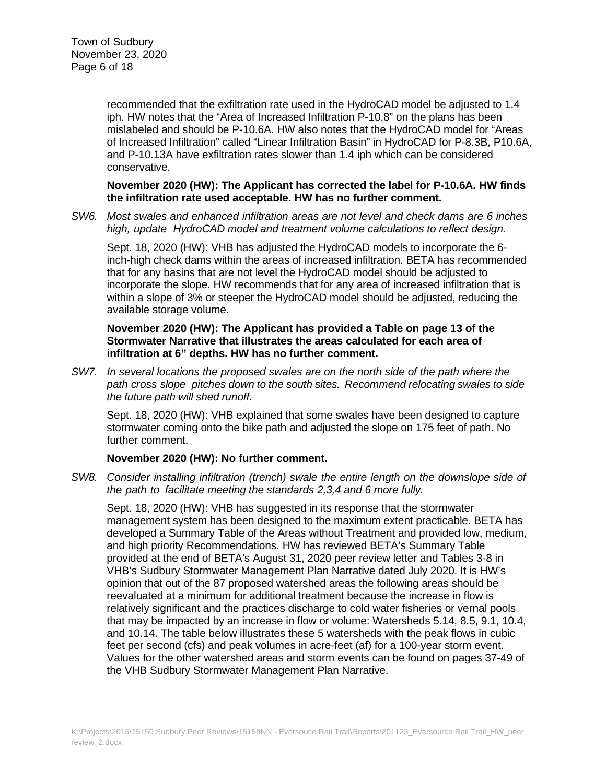recommended that the exfiltration rate used in the HydroCAD model be adjusted to 1.4 iph. HW notes that the "Area of Increased Infiltration P-10.8" on the plans has been mislabeled and should be P-10.6A. HW also notes that the HydroCAD model for "Areas of Increased Infiltration" called "Linear Infiltration Basin" in HydroCAD for P-8.3B, P10.6A, and P-10.13A have exfiltration rates slower than 1.4 iph which can be considered conservative.

### **November 2020 (HW): The Applicant has corrected the label for P-10.6A. HW finds the infiltration rate used acceptable. HW has no further comment.**

*SW6. Most swales and enhanced infiltration areas are not level and check dams are 6 inches high, update HydroCAD model and treatment volume calculations to reflect design.*

Sept. 18, 2020 (HW): VHB has adjusted the HydroCAD models to incorporate the 6 inch-high check dams within the areas of increased infiltration. BETA has recommended that for any basins that are not level the HydroCAD model should be adjusted to incorporate the slope. HW recommends that for any area of increased infiltration that is within a slope of 3% or steeper the HydroCAD model should be adjusted, reducing the available storage volume.

### **November 2020 (HW): The Applicant has provided a Table on page 13 of the Stormwater Narrative that illustrates the areas calculated for each area of infiltration at 6" depths. HW has no further comment.**

*SW7. In several locations the proposed swales are on the north side of the path where the path cross slope pitches down to the south sites. Recommend relocating swales to side the future path will shed runoff.*

Sept. 18, 2020 (HW): VHB explained that some swales have been designed to capture stormwater coming onto the bike path and adjusted the slope on 175 feet of path. No further comment.

# **November 2020 (HW): No further comment.**

*SW8. Consider installing infiltration (trench) swale the entire length on the downslope side of the path to facilitate meeting the standards 2,3,4 and 6 more fully.*

Sept. 18, 2020 (HW): VHB has suggested in its response that the stormwater management system has been designed to the maximum extent practicable. BETA has developed a Summary Table of the Areas without Treatment and provided low, medium, and high priority Recommendations. HW has reviewed BETA's Summary Table provided at the end of BETA's August 31, 2020 peer review letter and Tables 3-8 in VHB's Sudbury Stormwater Management Plan Narrative dated July 2020. It is HW's opinion that out of the 87 proposed watershed areas the following areas should be reevaluated at a minimum for additional treatment because the increase in flow is relatively significant and the practices discharge to cold water fisheries or vernal pools that may be impacted by an increase in flow or volume: Watersheds 5.14, 8.5, 9.1, 10.4, and 10.14. The table below illustrates these 5 watersheds with the peak flows in cubic feet per second (cfs) and peak volumes in acre-feet (af) for a 100-year storm event. Values for the other watershed areas and storm events can be found on pages 37-49 of the VHB Sudbury Stormwater Management Plan Narrative.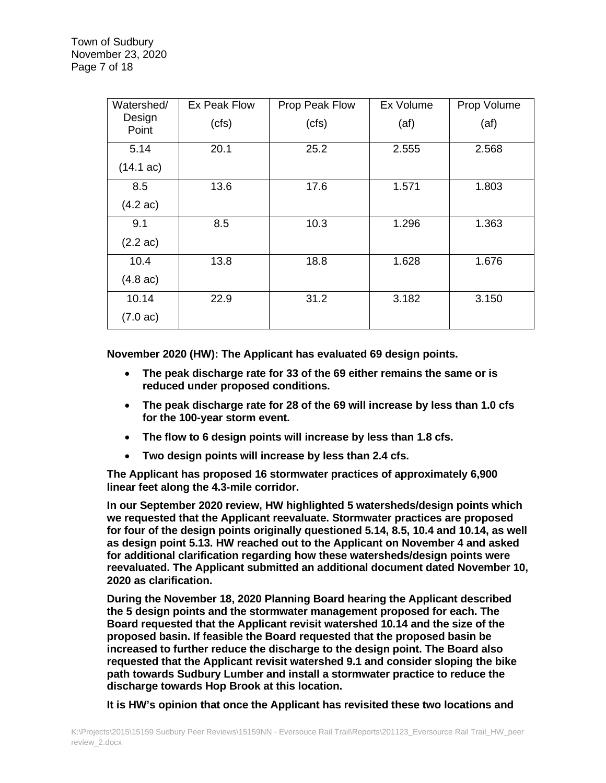| Watershed/          | Ex Peak Flow | Prop Peak Flow | Ex Volume | Prop Volume |
|---------------------|--------------|----------------|-----------|-------------|
| Design<br>Point     | (cts)        | (cts)          | (at)      | (at)        |
| 5.14                | 20.1         | 25.2           | 2.555     | 2.568       |
| $(14.1 \text{ ac})$ |              |                |           |             |
| 8.5                 | 13.6         | 17.6           | 1.571     | 1.803       |
| $(4.2 \text{ ac})$  |              |                |           |             |
| 9.1                 | 8.5          | 10.3           | 1.296     | 1.363       |
| $(2.2 \text{ ac})$  |              |                |           |             |
| 10.4                | 13.8         | 18.8           | 1.628     | 1.676       |
| $(4.8 \text{ ac})$  |              |                |           |             |
| 10.14               | 22.9         | 31.2           | 3.182     | 3.150       |
| $(7.0 \text{ ac})$  |              |                |           |             |

**November 2020 (HW): The Applicant has evaluated 69 design points.**

- **The peak discharge rate for 33 of the 69 either remains the same or is reduced under proposed conditions.**
- **The peak discharge rate for 28 of the 69 will increase by less than 1.0 cfs for the 100-year storm event.**
- **The flow to 6 design points will increase by less than 1.8 cfs.**
- **Two design points will increase by less than 2.4 cfs.**

**The Applicant has proposed 16 stormwater practices of approximately 6,900 linear feet along the 4.3-mile corridor.** 

**In our September 2020 review, HW highlighted 5 watersheds/design points which we requested that the Applicant reevaluate. Stormwater practices are proposed for four of the design points originally questioned 5.14, 8.5, 10.4 and 10.14, as well as design point 5.13. HW reached out to the Applicant on November 4 and asked for additional clarification regarding how these watersheds/design points were reevaluated. The Applicant submitted an additional document dated November 10, 2020 as clarification.**

**During the November 18, 2020 Planning Board hearing the Applicant described the 5 design points and the stormwater management proposed for each. The Board requested that the Applicant revisit watershed 10.14 and the size of the proposed basin. If feasible the Board requested that the proposed basin be increased to further reduce the discharge to the design point. The Board also requested that the Applicant revisit watershed 9.1 and consider sloping the bike path towards Sudbury Lumber and install a stormwater practice to reduce the discharge towards Hop Brook at this location.**

**It is HW's opinion that once the Applicant has revisited these two locations and**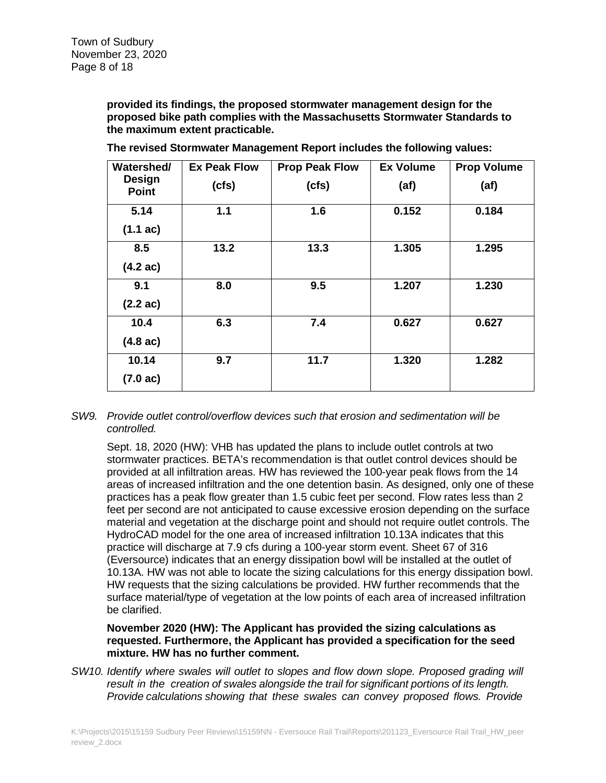**provided its findings, the proposed stormwater management design for the proposed bike path complies with the Massachusetts Stormwater Standards to the maximum extent practicable.**

| Watershed/<br><b>Design</b><br><b>Point</b> | <b>Ex Peak Flow</b> | <b>Prop Peak Flow</b> | <b>Ex Volume</b> | <b>Prop Volume</b> |
|---------------------------------------------|---------------------|-----------------------|------------------|--------------------|
|                                             | (cfs)               | (cts)                 | (af)             | (af)               |
| 5.14                                        | 1.1                 | 1.6                   | 0.152            | 0.184              |
| $(1.1 \text{ ac})$                          |                     |                       |                  |                    |
| 8.5                                         | 13.2                | 13.3                  | 1.305            | 1.295              |
| $(4.2 \text{ ac})$                          |                     |                       |                  |                    |
| 9.1                                         | 8.0                 | 9.5                   | 1.207            | 1.230              |
| $(2.2 \text{ ac})$                          |                     |                       |                  |                    |
| 10.4                                        | 6.3                 | 7.4                   | 0.627            | 0.627              |
| $(4.8 \text{ ac})$                          |                     |                       |                  |                    |
| 10.14                                       | 9.7                 | 11.7                  | 1.320            | 1.282              |
| $(7.0 \text{ ac})$                          |                     |                       |                  |                    |

**The revised Stormwater Management Report includes the following values:**

### *SW9. Provide outlet control/overflow devices such that erosion and sedimentation will be controlled.*

Sept. 18, 2020 (HW): VHB has updated the plans to include outlet controls at two stormwater practices. BETA's recommendation is that outlet control devices should be provided at all infiltration areas. HW has reviewed the 100-year peak flows from the 14 areas of increased infiltration and the one detention basin. As designed, only one of these practices has a peak flow greater than 1.5 cubic feet per second. Flow rates less than 2 feet per second are not anticipated to cause excessive erosion depending on the surface material and vegetation at the discharge point and should not require outlet controls. The HydroCAD model for the one area of increased infiltration 10.13A indicates that this practice will discharge at 7.9 cfs during a 100-year storm event. Sheet 67 of 316 (Eversource) indicates that an energy dissipation bowl will be installed at the outlet of 10.13A. HW was not able to locate the sizing calculations for this energy dissipation bowl. HW requests that the sizing calculations be provided. HW further recommends that the surface material/type of vegetation at the low points of each area of increased infiltration be clarified.

# **November 2020 (HW): The Applicant has provided the sizing calculations as requested. Furthermore, the Applicant has provided a specification for the seed mixture. HW has no further comment.**

*SW10. Identify where swales will outlet to slopes and flow down slope. Proposed grading will result in the creation of swales alongside the trail for significant portions of its length. Provide calculations showing that these swales can convey proposed flows. Provide*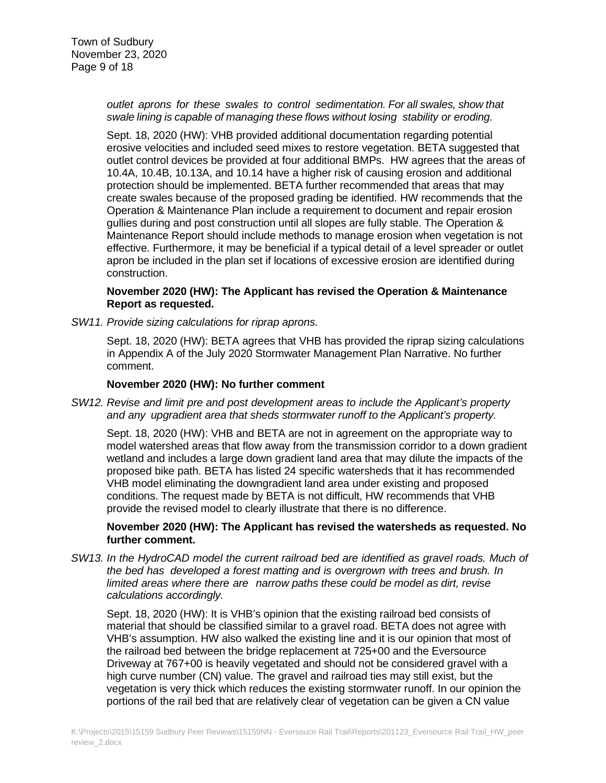*outlet aprons for these swales to control sedimentation. For all swales, show that swale lining is capable of managing these flows without losing stability or eroding.*

Sept. 18, 2020 (HW): VHB provided additional documentation regarding potential erosive velocities and included seed mixes to restore vegetation. BETA suggested that outlet control devices be provided at four additional BMPs. HW agrees that the areas of 10.4A, 10.4B, 10.13A, and 10.14 have a higher risk of causing erosion and additional protection should be implemented. BETA further recommended that areas that may create swales because of the proposed grading be identified. HW recommends that the Operation & Maintenance Plan include a requirement to document and repair erosion gullies during and post construction until all slopes are fully stable. The Operation & Maintenance Report should include methods to manage erosion when vegetation is not effective. Furthermore, it may be beneficial if a typical detail of a level spreader or outlet apron be included in the plan set if locations of excessive erosion are identified during construction.

# **November 2020 (HW): The Applicant has revised the Operation & Maintenance Report as requested.**

*SW11. Provide sizing calculations for riprap aprons.*

Sept. 18, 2020 (HW): BETA agrees that VHB has provided the riprap sizing calculations in Appendix A of the July 2020 Stormwater Management Plan Narrative. No further comment.

### **November 2020 (HW): No further comment**

*SW12. Revise and limit pre and post development areas to include the Applicant's property and any upgradient area that sheds stormwater runoff to the Applicant's property.*

Sept. 18, 2020 (HW): VHB and BETA are not in agreement on the appropriate way to model watershed areas that flow away from the transmission corridor to a down gradient wetland and includes a large down gradient land area that may dilute the impacts of the proposed bike path. BETA has listed 24 specific watersheds that it has recommended VHB model eliminating the downgradient land area under existing and proposed conditions. The request made by BETA is not difficult, HW recommends that VHB provide the revised model to clearly illustrate that there is no difference.

### **November 2020 (HW): The Applicant has revised the watersheds as requested. No further comment.**

*SW13. In the HydroCAD model the current railroad bed are identified as gravel roads. Much of the bed has developed a forest matting and is overgrown with trees and brush. In limited areas where there are narrow paths these could be model as dirt, revise calculations accordingly.*

Sept. 18, 2020 (HW): It is VHB's opinion that the existing railroad bed consists of material that should be classified similar to a gravel road. BETA does not agree with VHB's assumption. HW also walked the existing line and it is our opinion that most of the railroad bed between the bridge replacement at 725+00 and the Eversource Driveway at 767+00 is heavily vegetated and should not be considered gravel with a high curve number (CN) value. The gravel and railroad ties may still exist, but the vegetation is very thick which reduces the existing stormwater runoff. In our opinion the portions of the rail bed that are relatively clear of vegetation can be given a CN value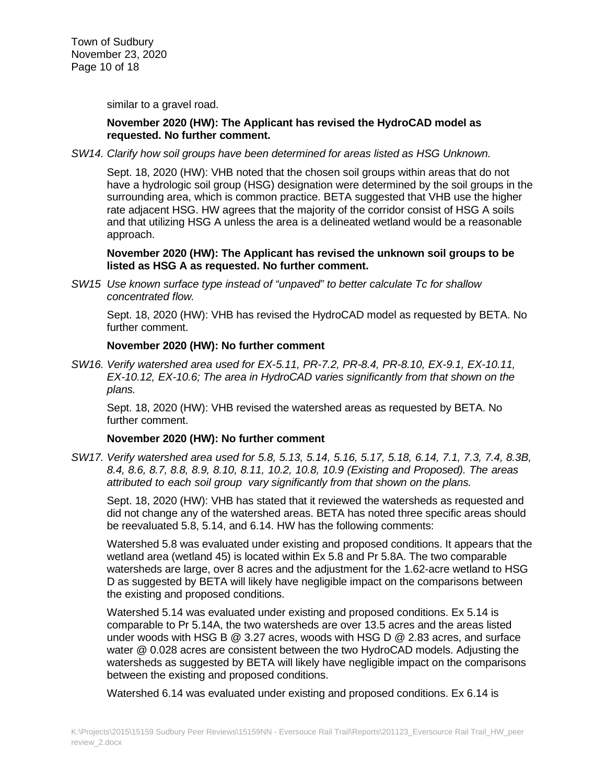similar to a gravel road.

# **November 2020 (HW): The Applicant has revised the HydroCAD model as requested. No further comment.**

*SW14. Clarify how soil groups have been determined for areas listed as HSG Unknown.*

Sept. 18, 2020 (HW): VHB noted that the chosen soil groups within areas that do not have a hydrologic soil group (HSG) designation were determined by the soil groups in the surrounding area, which is common practice. BETA suggested that VHB use the higher rate adjacent HSG. HW agrees that the majority of the corridor consist of HSG A soils and that utilizing HSG A unless the area is a delineated wetland would be a reasonable approach.

### **November 2020 (HW): The Applicant has revised the unknown soil groups to be listed as HSG A as requested. No further comment.**

*SW15 Use known surface type instead of "unpaved" to better calculate Tc for shallow concentrated flow.*

Sept. 18, 2020 (HW): VHB has revised the HydroCAD model as requested by BETA. No further comment.

### **November 2020 (HW): No further comment**

*SW16. Verify watershed area used for EX-5.11, PR-7.2, PR-8.4, PR-8.10, EX-9.1, EX-10.11, EX-10.12, EX-10.6; The area in HydroCAD varies significantly from that shown on the plans.*

Sept. 18, 2020 (HW): VHB revised the watershed areas as requested by BETA. No further comment.

### **November 2020 (HW): No further comment**

*SW17. Verify watershed area used for 5.8, 5.13, 5.14, 5.16, 5.17, 5.18, 6.14, 7.1, 7.3, 7.4, 8.3B, 8.4, 8.6, 8.7, 8.8, 8.9, 8.10, 8.11, 10.2, 10.8, 10.9 (Existing and Proposed). The areas attributed to each soil group vary significantly from that shown on the plans.*

Sept. 18, 2020 (HW): VHB has stated that it reviewed the watersheds as requested and did not change any of the watershed areas. BETA has noted three specific areas should be reevaluated 5.8, 5.14, and 6.14. HW has the following comments:

Watershed 5.8 was evaluated under existing and proposed conditions. It appears that the wetland area (wetland 45) is located within Ex 5.8 and Pr 5.8A. The two comparable watersheds are large, over 8 acres and the adjustment for the 1.62-acre wetland to HSG D as suggested by BETA will likely have negligible impact on the comparisons between the existing and proposed conditions.

Watershed 5.14 was evaluated under existing and proposed conditions. Ex 5.14 is comparable to Pr 5.14A, the two watersheds are over 13.5 acres and the areas listed under woods with HSG B @ 3.27 acres, woods with HSG D @ 2.83 acres, and surface water @ 0.028 acres are consistent between the two HydroCAD models. Adjusting the watersheds as suggested by BETA will likely have negligible impact on the comparisons between the existing and proposed conditions.

Watershed 6.14 was evaluated under existing and proposed conditions. Ex 6.14 is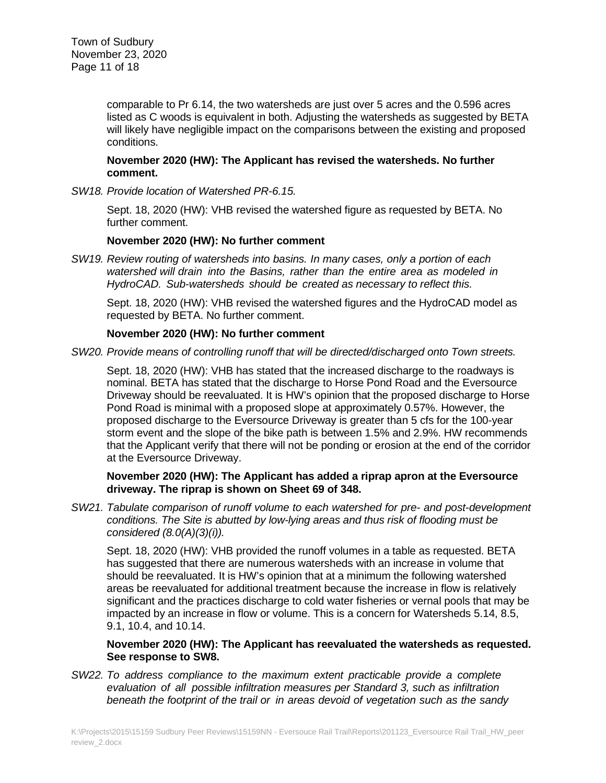comparable to Pr 6.14, the two watersheds are just over 5 acres and the 0.596 acres listed as C woods is equivalent in both. Adjusting the watersheds as suggested by BETA will likely have negligible impact on the comparisons between the existing and proposed conditions.

### **November 2020 (HW): The Applicant has revised the watersheds. No further comment.**

*SW18. Provide location of Watershed PR-6.15.*

Sept. 18, 2020 (HW): VHB revised the watershed figure as requested by BETA. No further comment.

# **November 2020 (HW): No further comment**

*SW19. Review routing of watersheds into basins. In many cases, only a portion of each watershed will drain into the Basins, rather than the entire area as modeled in HydroCAD. Sub-watersheds should be created as necessary to reflect this.*

Sept. 18, 2020 (HW): VHB revised the watershed figures and the HydroCAD model as requested by BETA. No further comment.

# **November 2020 (HW): No further comment**

*SW20. Provide means of controlling runoff that will be directed/discharged onto Town streets.*

Sept. 18, 2020 (HW): VHB has stated that the increased discharge to the roadways is nominal. BETA has stated that the discharge to Horse Pond Road and the Eversource Driveway should be reevaluated. It is HW's opinion that the proposed discharge to Horse Pond Road is minimal with a proposed slope at approximately 0.57%. However, the proposed discharge to the Eversource Driveway is greater than 5 cfs for the 100-year storm event and the slope of the bike path is between 1.5% and 2.9%. HW recommends that the Applicant verify that there will not be ponding or erosion at the end of the corridor at the Eversource Driveway.

### **November 2020 (HW): The Applicant has added a riprap apron at the Eversource driveway. The riprap is shown on Sheet 69 of 348.**

*SW21. Tabulate comparison of runoff volume to each watershed for pre- and post-development conditions. The Site is abutted by low-lying areas and thus risk of flooding must be considered (8.0(A)(3)(i)).*

Sept. 18, 2020 (HW): VHB provided the runoff volumes in a table as requested. BETA has suggested that there are numerous watersheds with an increase in volume that should be reevaluated. It is HW's opinion that at a minimum the following watershed areas be reevaluated for additional treatment because the increase in flow is relatively significant and the practices discharge to cold water fisheries or vernal pools that may be impacted by an increase in flow or volume. This is a concern for Watersheds 5.14, 8.5, 9.1, 10.4, and 10.14.

# **November 2020 (HW): The Applicant has reevaluated the watersheds as requested. See response to SW8.**

*SW22. To address compliance to the maximum extent practicable provide a complete evaluation of all possible infiltration measures per Standard 3, such as infiltration beneath the footprint of the trail or in areas devoid of vegetation such as the sandy*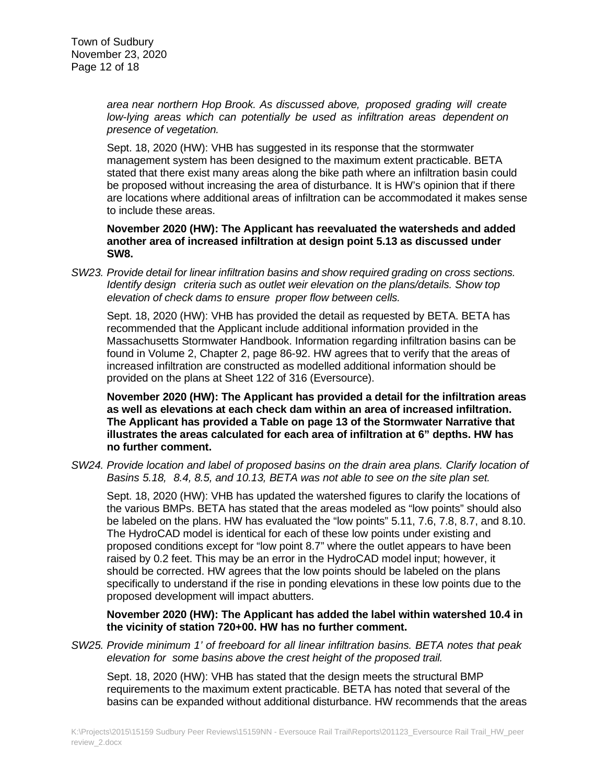*area near northern Hop Brook. As discussed above, proposed grading will create low-lying areas which can potentially be used as infiltration areas dependent on presence of vegetation.*

Sept. 18, 2020 (HW): VHB has suggested in its response that the stormwater management system has been designed to the maximum extent practicable. BETA stated that there exist many areas along the bike path where an infiltration basin could be proposed without increasing the area of disturbance. It is HW's opinion that if there are locations where additional areas of infiltration can be accommodated it makes sense to include these areas.

**November 2020 (HW): The Applicant has reevaluated the watersheds and added another area of increased infiltration at design point 5.13 as discussed under SW8.**

*SW23. Provide detail for linear infiltration basins and show required grading on cross sections. Identify design criteria such as outlet weir elevation on the plans/details. Show top elevation of check dams to ensure proper flow between cells.*

Sept. 18, 2020 (HW): VHB has provided the detail as requested by BETA. BETA has recommended that the Applicant include additional information provided in the Massachusetts Stormwater Handbook. Information regarding infiltration basins can be found in Volume 2, Chapter 2, page 86-92. HW agrees that to verify that the areas of increased infiltration are constructed as modelled additional information should be provided on the plans at Sheet 122 of 316 (Eversource).

**November 2020 (HW): The Applicant has provided a detail for the infiltration areas as well as elevations at each check dam within an area of increased infiltration. The Applicant has provided a Table on page 13 of the Stormwater Narrative that illustrates the areas calculated for each area of infiltration at 6" depths. HW has no further comment.**

*SW24. Provide location and label of proposed basins on the drain area plans. Clarify location of Basins 5.18, 8.4, 8.5, and 10.13, BETA was not able to see on the site plan set.*

Sept. 18, 2020 (HW): VHB has updated the watershed figures to clarify the locations of the various BMPs. BETA has stated that the areas modeled as "low points" should also be labeled on the plans. HW has evaluated the "low points" 5.11, 7.6, 7.8, 8.7, and 8.10. The HydroCAD model is identical for each of these low points under existing and proposed conditions except for "low point 8.7" where the outlet appears to have been raised by 0.2 feet. This may be an error in the HydroCAD model input; however, it should be corrected. HW agrees that the low points should be labeled on the plans specifically to understand if the rise in ponding elevations in these low points due to the proposed development will impact abutters.

### **November 2020 (HW): The Applicant has added the label within watershed 10.4 in the vicinity of station 720+00. HW has no further comment.**

*SW25. Provide minimum 1' of freeboard for all linear infiltration basins. BETA notes that peak elevation for some basins above the crest height of the proposed trail.*

Sept. 18, 2020 (HW): VHB has stated that the design meets the structural BMP requirements to the maximum extent practicable. BETA has noted that several of the basins can be expanded without additional disturbance. HW recommends that the areas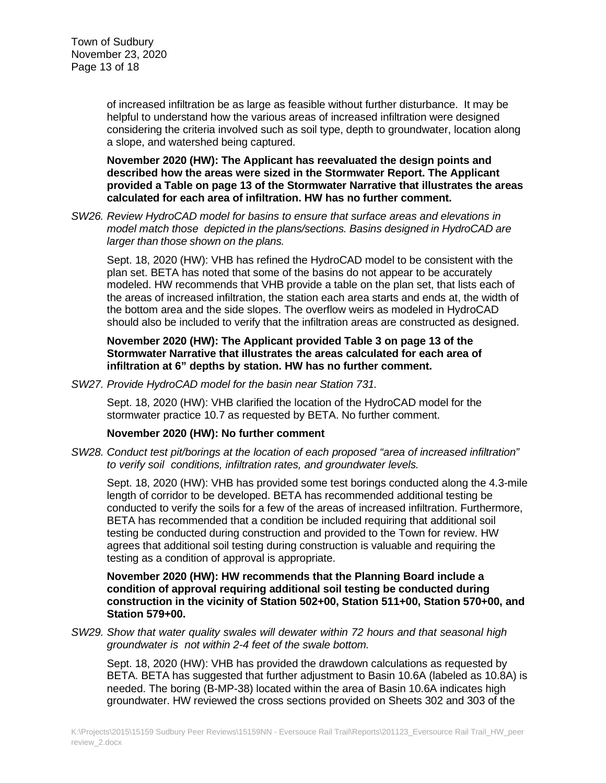of increased infiltration be as large as feasible without further disturbance. It may be helpful to understand how the various areas of increased infiltration were designed considering the criteria involved such as soil type, depth to groundwater, location along a slope, and watershed being captured.

**November 2020 (HW): The Applicant has reevaluated the design points and described how the areas were sized in the Stormwater Report. The Applicant provided a Table on page 13 of the Stormwater Narrative that illustrates the areas calculated for each area of infiltration. HW has no further comment.**

*SW26. Review HydroCAD model for basins to ensure that surface areas and elevations in model match those depicted in the plans/sections. Basins designed in HydroCAD are larger than those shown on the plans.*

Sept. 18, 2020 (HW): VHB has refined the HydroCAD model to be consistent with the plan set. BETA has noted that some of the basins do not appear to be accurately modeled. HW recommends that VHB provide a table on the plan set, that lists each of the areas of increased infiltration, the station each area starts and ends at, the width of the bottom area and the side slopes. The overflow weirs as modeled in HydroCAD should also be included to verify that the infiltration areas are constructed as designed.

### **November 2020 (HW): The Applicant provided Table 3 on page 13 of the Stormwater Narrative that illustrates the areas calculated for each area of infiltration at 6" depths by station. HW has no further comment.**

*SW27. Provide HydroCAD model for the basin near Station 731.*

Sept. 18, 2020 (HW): VHB clarified the location of the HydroCAD model for the stormwater practice 10.7 as requested by BETA. No further comment.

### **November 2020 (HW): No further comment**

*SW28. Conduct test pit/borings at the location of each proposed "area of increased infiltration" to verify soil conditions, infiltration rates, and groundwater levels.*

Sept. 18, 2020 (HW): VHB has provided some test borings conducted along the 4.3-mile length of corridor to be developed. BETA has recommended additional testing be conducted to verify the soils for a few of the areas of increased infiltration. Furthermore, BETA has recommended that a condition be included requiring that additional soil testing be conducted during construction and provided to the Town for review. HW agrees that additional soil testing during construction is valuable and requiring the testing as a condition of approval is appropriate.

**November 2020 (HW): HW recommends that the Planning Board include a condition of approval requiring additional soil testing be conducted during construction in the vicinity of Station 502+00, Station 511+00, Station 570+00, and Station 579+00.**

*SW29. Show that water quality swales will dewater within 72 hours and that seasonal high groundwater is not within 2-4 feet of the swale bottom.*

Sept. 18, 2020 (HW): VHB has provided the drawdown calculations as requested by BETA. BETA has suggested that further adjustment to Basin 10.6A (labeled as 10.8A) is needed. The boring (B-MP-38) located within the area of Basin 10.6A indicates high groundwater. HW reviewed the cross sections provided on Sheets 302 and 303 of the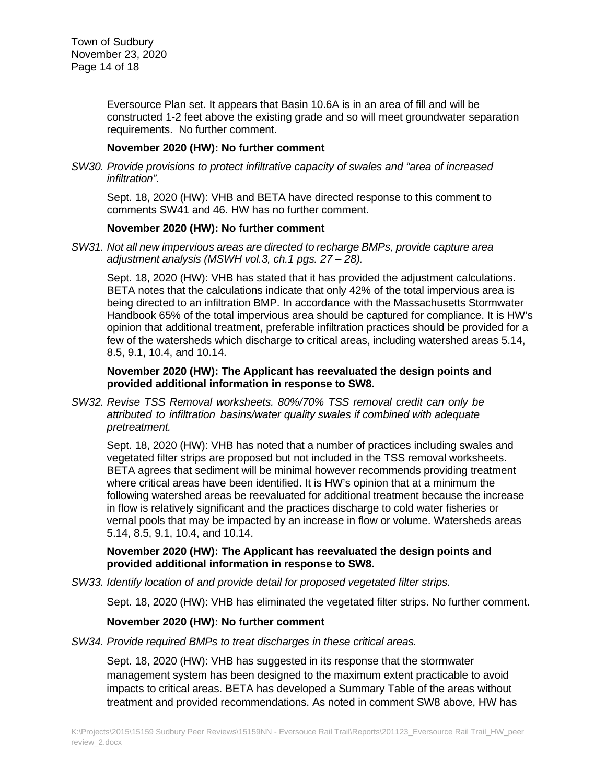Eversource Plan set. It appears that Basin 10.6A is in an area of fill and will be constructed 1-2 feet above the existing grade and so will meet groundwater separation requirements. No further comment.

### **November 2020 (HW): No further comment**

*SW30. Provide provisions to protect infiltrative capacity of swales and "area of increased infiltration".*

Sept. 18, 2020 (HW): VHB and BETA have directed response to this comment to comments SW41 and 46. HW has no further comment.

# **November 2020 (HW): No further comment**

*SW31. Not all new impervious areas are directed to recharge BMPs, provide capture area adjustment analysis (MSWH vol.3, ch.1 pgs. 27 – 28).*

Sept. 18, 2020 (HW): VHB has stated that it has provided the adjustment calculations. BETA notes that the calculations indicate that only 42% of the total impervious area is being directed to an infiltration BMP. In accordance with the Massachusetts Stormwater Handbook 65% of the total impervious area should be captured for compliance. It is HW's opinion that additional treatment, preferable infiltration practices should be provided for a few of the watersheds which discharge to critical areas, including watershed areas 5.14, 8.5, 9.1, 10.4, and 10.14.

# **November 2020 (HW): The Applicant has reevaluated the design points and provided additional information in response to SW8.**

*SW32. Revise TSS Removal worksheets. 80%/70% TSS removal credit can only be attributed to infiltration basins/water quality swales if combined with adequate pretreatment.*

Sept. 18, 2020 (HW): VHB has noted that a number of practices including swales and vegetated filter strips are proposed but not included in the TSS removal worksheets. BETA agrees that sediment will be minimal however recommends providing treatment where critical areas have been identified. It is HW's opinion that at a minimum the following watershed areas be reevaluated for additional treatment because the increase in flow is relatively significant and the practices discharge to cold water fisheries or vernal pools that may be impacted by an increase in flow or volume. Watersheds areas 5.14, 8.5, 9.1, 10.4, and 10.14.

### **November 2020 (HW): The Applicant has reevaluated the design points and provided additional information in response to SW8.**

*SW33. Identify location of and provide detail for proposed vegetated filter strips.*

Sept. 18, 2020 (HW): VHB has eliminated the vegetated filter strips. No further comment.

### **November 2020 (HW): No further comment**

*SW34. Provide required BMPs to treat discharges in these critical areas.*

Sept. 18, 2020 (HW): VHB has suggested in its response that the stormwater management system has been designed to the maximum extent practicable to avoid impacts to critical areas. BETA has developed a Summary Table of the areas without treatment and provided recommendations. As noted in comment SW8 above, HW has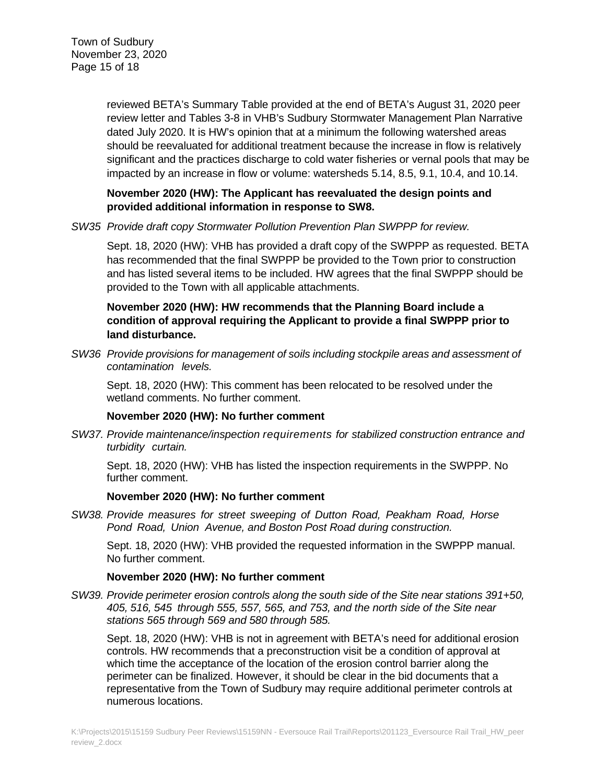reviewed BETA's Summary Table provided at the end of BETA's August 31, 2020 peer review letter and Tables 3-8 in VHB's Sudbury Stormwater Management Plan Narrative dated July 2020. It is HW's opinion that at a minimum the following watershed areas should be reevaluated for additional treatment because the increase in flow is relatively significant and the practices discharge to cold water fisheries or vernal pools that may be impacted by an increase in flow or volume: watersheds 5.14, 8.5, 9.1, 10.4, and 10.14.

# **November 2020 (HW): The Applicant has reevaluated the design points and provided additional information in response to SW8.**

*SW35 Provide draft copy Stormwater Pollution Prevention Plan SWPPP for review.*

Sept. 18, 2020 (HW): VHB has provided a draft copy of the SWPPP as requested. BETA has recommended that the final SWPPP be provided to the Town prior to construction and has listed several items to be included. HW agrees that the final SWPPP should be provided to the Town with all applicable attachments.

# **November 2020 (HW): HW recommends that the Planning Board include a condition of approval requiring the Applicant to provide a final SWPPP prior to land disturbance.**

*SW36 Provide provisions for management of soils including stockpile areas and assessment of contamination levels.*

Sept. 18, 2020 (HW): This comment has been relocated to be resolved under the wetland comments. No further comment.

# **November 2020 (HW): No further comment**

*SW37. Provide maintenance/inspection requirements for stabilized construction entrance and turbidity curtain.*

Sept. 18, 2020 (HW): VHB has listed the inspection requirements in the SWPPP. No further comment.

# **November 2020 (HW): No further comment**

*SW38. Provide measures for street sweeping of Dutton Road, Peakham Road, Horse Pond Road, Union Avenue, and Boston Post Road during construction.*

Sept. 18, 2020 (HW): VHB provided the requested information in the SWPPP manual. No further comment.

# **November 2020 (HW): No further comment**

*SW39. Provide perimeter erosion controls along the south side of the Site near stations 391+50, 405, 516, 545 through 555, 557, 565, and 753, and the north side of the Site near stations 565 through 569 and 580 through 585.*

Sept. 18, 2020 (HW): VHB is not in agreement with BETA's need for additional erosion controls. HW recommends that a preconstruction visit be a condition of approval at which time the acceptance of the location of the erosion control barrier along the perimeter can be finalized. However, it should be clear in the bid documents that a representative from the Town of Sudbury may require additional perimeter controls at numerous locations.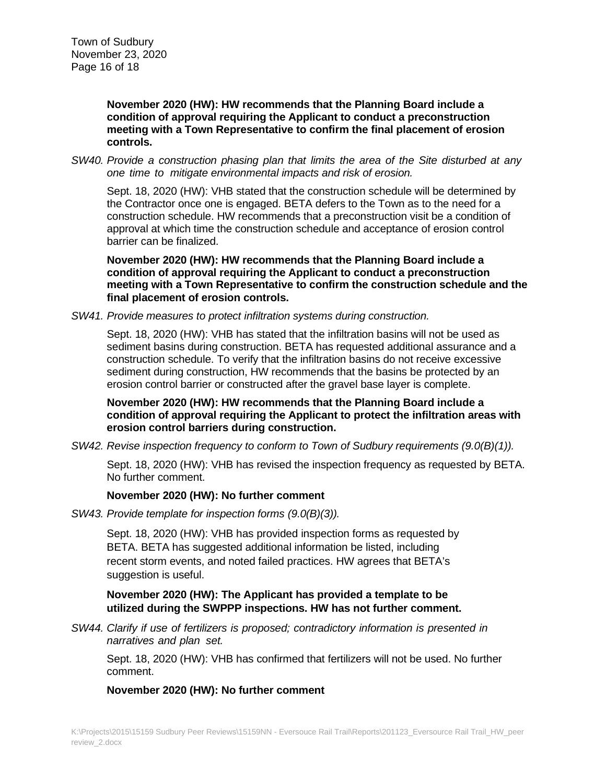**November 2020 (HW): HW recommends that the Planning Board include a condition of approval requiring the Applicant to conduct a preconstruction meeting with a Town Representative to confirm the final placement of erosion controls.**

*SW40. Provide a construction phasing plan that limits the area of the Site disturbed at any one time to mitigate environmental impacts and risk of erosion.*

Sept. 18, 2020 (HW): VHB stated that the construction schedule will be determined by the Contractor once one is engaged. BETA defers to the Town as to the need for a construction schedule. HW recommends that a preconstruction visit be a condition of approval at which time the construction schedule and acceptance of erosion control barrier can be finalized.

**November 2020 (HW): HW recommends that the Planning Board include a condition of approval requiring the Applicant to conduct a preconstruction meeting with a Town Representative to confirm the construction schedule and the final placement of erosion controls.**

#### *SW41. Provide measures to protect infiltration systems during construction.*

Sept. 18, 2020 (HW): VHB has stated that the infiltration basins will not be used as sediment basins during construction. BETA has requested additional assurance and a construction schedule. To verify that the infiltration basins do not receive excessive sediment during construction, HW recommends that the basins be protected by an erosion control barrier or constructed after the gravel base layer is complete.

**November 2020 (HW): HW recommends that the Planning Board include a condition of approval requiring the Applicant to protect the infiltration areas with erosion control barriers during construction.**

*SW42. Revise inspection frequency to conform to Town of Sudbury requirements (9.0(B)(1)).*

Sept. 18, 2020 (HW): VHB has revised the inspection frequency as requested by BETA. No further comment.

### **November 2020 (HW): No further comment**

*SW43. Provide template for inspection forms (9.0(B)(3)).*

Sept. 18, 2020 (HW): VHB has provided inspection forms as requested by BETA. BETA has suggested additional information be listed, including recent storm events, and noted failed practices. HW agrees that BETA's suggestion is useful.

# **November 2020 (HW): The Applicant has provided a template to be utilized during the SWPPP inspections. HW has not further comment.**

*SW44. Clarify if use of fertilizers is proposed; contradictory information is presented in narratives and plan set.*

Sept. 18, 2020 (HW): VHB has confirmed that fertilizers will not be used. No further comment.

#### **November 2020 (HW): No further comment**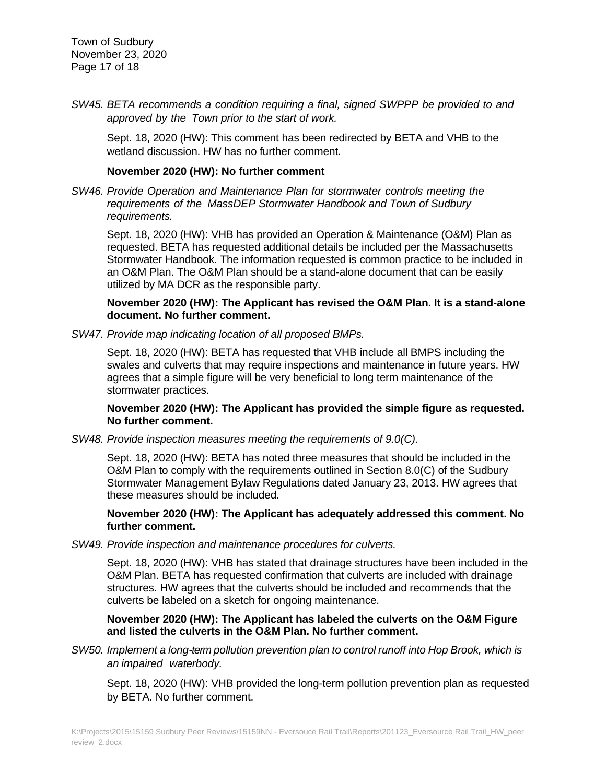Town of Sudbury November 23, 2020 Page 17 of 18

*SW45. BETA recommends a condition requiring a final, signed SWPPP be provided to and approved by the Town prior to the start of work.*

Sept. 18, 2020 (HW): This comment has been redirected by BETA and VHB to the wetland discussion. HW has no further comment.

### **November 2020 (HW): No further comment**

*SW46. Provide Operation and Maintenance Plan for stormwater controls meeting the requirements of the MassDEP Stormwater Handbook and Town of Sudbury requirements.*

Sept. 18, 2020 (HW): VHB has provided an Operation & Maintenance (O&M) Plan as requested. BETA has requested additional details be included per the Massachusetts Stormwater Handbook. The information requested is common practice to be included in an O&M Plan. The O&M Plan should be a stand-alone document that can be easily utilized by MA DCR as the responsible party.

# **November 2020 (HW): The Applicant has revised the O&M Plan. It is a stand-alone document. No further comment.**

*SW47. Provide map indicating location of all proposed BMPs.*

Sept. 18, 2020 (HW): BETA has requested that VHB include all BMPS including the swales and culverts that may require inspections and maintenance in future years. HW agrees that a simple figure will be very beneficial to long term maintenance of the stormwater practices.

**November 2020 (HW): The Applicant has provided the simple figure as requested. No further comment.**

*SW48. Provide inspection measures meeting the requirements of 9.0(C).*

Sept. 18, 2020 (HW): BETA has noted three measures that should be included in the O&M Plan to comply with the requirements outlined in Section 8.0(C) of the Sudbury Stormwater Management Bylaw Regulations dated January 23, 2013. HW agrees that these measures should be included.

# **November 2020 (HW): The Applicant has adequately addressed this comment. No further comment.**

*SW49. Provide inspection and maintenance procedures for culverts.*

Sept. 18, 2020 (HW): VHB has stated that drainage structures have been included in the O&M Plan. BETA has requested confirmation that culverts are included with drainage structures. HW agrees that the culverts should be included and recommends that the culverts be labeled on a sketch for ongoing maintenance.

### **November 2020 (HW): The Applicant has labeled the culverts on the O&M Figure and listed the culverts in the O&M Plan. No further comment.**

*SW50. Implement a long-term pollution prevention plan to control runoff into Hop Brook, which is an impaired waterbody.*

Sept. 18, 2020 (HW): VHB provided the long-term pollution prevention plan as requested by BETA. No further comment.